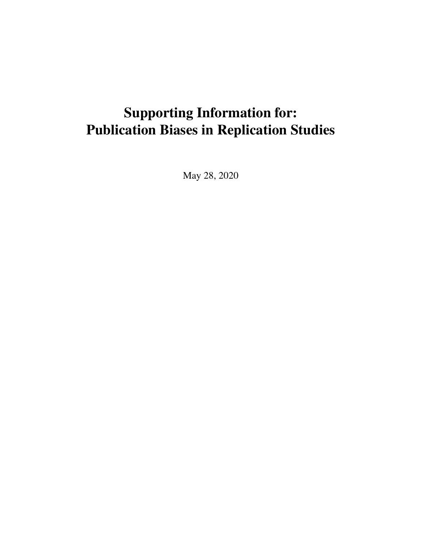# Supporting Information for: Publication Biases in Replication Studies

May 28, 2020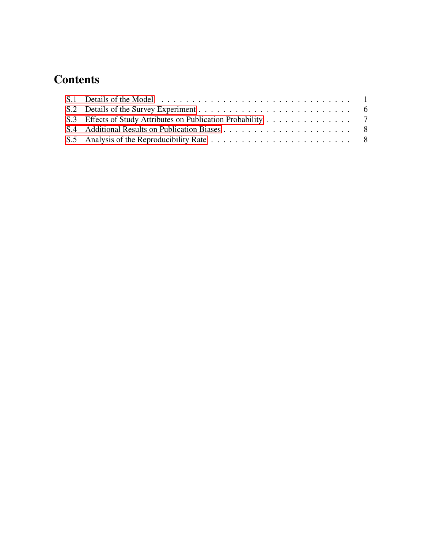## **Contents**

| S.3 Effects of Study Attributes on Publication Probability 7 |  |
|--------------------------------------------------------------|--|
|                                                              |  |
|                                                              |  |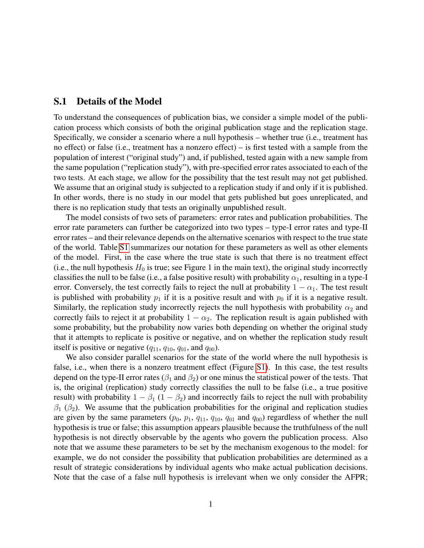#### <span id="page-2-0"></span>S.1 Details of the Model

To understand the consequences of publication bias, we consider a simple model of the publication process which consists of both the original publication stage and the replication stage. Specifically, we consider a scenario where a null hypothesis – whether true (i.e., treatment has no effect) or false (i.e., treatment has a nonzero effect) – is first tested with a sample from the population of interest ("original study") and, if published, tested again with a new sample from the same population ("replication study"), with pre-specified error rates associated to each of the two tests. At each stage, we allow for the possibility that the test result may not get published. We assume that an original study is subjected to a replication study if and only if it is published. In other words, there is no study in our model that gets published but goes unreplicated, and there is no replication study that tests an originally unpublished result.

The model consists of two sets of parameters: error rates and publication probabilities. The error rate parameters can further be categorized into two types – type-I error rates and type-II error rates – and their relevance depends on the alternative scenarios with respect to the true state of the world. Table [S1](#page-3-0) summarizes our notation for these parameters as well as other elements of the model. First, in the case where the true state is such that there is no treatment effect (i.e., the null hypothesis  $H_0$  is true; see Figure 1 in the main text), the original study incorrectly classifies the null to be false (i.e., a false positive result) with probability  $\alpha_1$ , resulting in a type-I error. Conversely, the test correctly fails to reject the null at probability  $1 - \alpha_1$ . The test result is published with probability  $p_1$  if it is a positive result and with  $p_0$  if it is a negative result. Similarly, the replication study incorrectly rejects the null hypothesis with probability  $\alpha_2$  and correctly fails to reject it at probability  $1 - \alpha_2$ . The replication result is again published with some probability, but the probability now varies both depending on whether the original study that it attempts to replicate is positive or negative, and on whether the replication study result itself is positive or negative  $(q_{11}, q_{10}, q_{01},$  and  $q_{00})$ .

We also consider parallel scenarios for the state of the world where the null hypothesis is false, i.e., when there is a nonzero treatment effect (Figure [S1\)](#page-3-1). In this case, the test results depend on the type-II error rates ( $\beta_1$  and  $\beta_2$ ) or one minus the statistical power of the tests. That is, the original (replication) study correctly classifies the null to be false (i.e., a true positive result) with probability  $1 - \beta_1 (1 - \beta_2)$  and incorrectly fails to reject the null with probability  $\beta_1$  ( $\beta_2$ ). We assume that the publication probabilities for the original and replication studies are given by the same parameters  $(p_0, p_1, q_{11}, q_{10}, q_{01})$  and  $q_{00}$  regardless of whether the null hypothesis is true or false; this assumption appears plausible because the truthfulness of the null hypothesis is not directly observable by the agents who govern the publication process. Also note that we assume these parameters to be set by the mechanism exogenous to the model: for example, we do not consider the possibility that publication probabilities are determined as a result of strategic considerations by individual agents who make actual publication decisions. Note that the case of a false null hypothesis is irrelevant when we only consider the AFPR;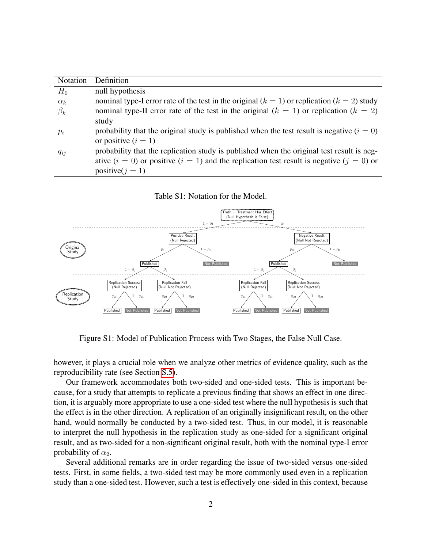| Notation   | Definition                                                                                     |
|------------|------------------------------------------------------------------------------------------------|
| $H_0$      | null hypothesis                                                                                |
| $\alpha_k$ | nominal type-I error rate of the test in the original $(k = 1)$ or replication $(k = 2)$ study |
| $\beta_k$  | nominal type-II error rate of the test in the original $(k = 1)$ or replication $(k = 2)$      |
|            | study                                                                                          |
| $p_i$      | probability that the original study is published when the test result is negative $(i = 0)$    |
|            | or positive $(i = 1)$                                                                          |
| $q_{ij}$   | probability that the replication study is published when the original test result is neg-      |
|            | ative $(i = 0)$ or positive $(i = 1)$ and the replication test result is negative $(j = 0)$ or |
|            | positive( $j = 1$ )                                                                            |

<span id="page-3-0"></span>Table S1: Notation for the Model.



<span id="page-3-1"></span>Figure S1: Model of Publication Process with Two Stages, the False Null Case.

however, it plays a crucial role when we analyze other metrics of evidence quality, such as the reproducibility rate (see Section [S.5\)](#page-9-1).

Our framework accommodates both two-sided and one-sided tests. This is important because, for a study that attempts to replicate a previous finding that shows an effect in one direction, it is arguably more appropriate to use a one-sided test where the null hypothesis is such that the effect is in the other direction. A replication of an originally insignificant result, on the other hand, would normally be conducted by a two-sided test. Thus, in our model, it is reasonable to interpret the null hypothesis in the replication study as one-sided for a significant original result, and as two-sided for a non-significant original result, both with the nominal type-I error probability of  $\alpha_2$ .

Several additional remarks are in order regarding the issue of two-sided versus one-sided tests. First, in some fields, a two-sided test may be more commonly used even in a replication study than a one-sided test. However, such a test is effectively one-sided in this context, because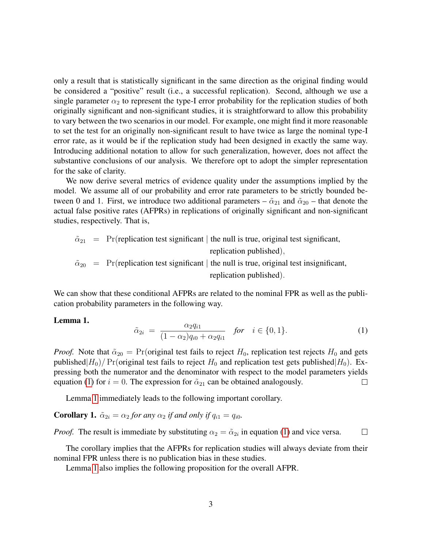only a result that is statistically significant in the same direction as the original finding would be considered a "positive" result (i.e., a successful replication). Second, although we use a single parameter  $\alpha_2$  to represent the type-I error probability for the replication studies of both originally significant and non-significant studies, it is straightforward to allow this probability to vary between the two scenarios in our model. For example, one might find it more reasonable to set the test for an originally non-significant result to have twice as large the nominal type-I error rate, as it would be if the replication study had been designed in exactly the same way. Introducing additional notation to allow for such generalization, however, does not affect the substantive conclusions of our analysis. We therefore opt to adopt the simpler representation for the sake of clarity.

We now derive several metrics of evidence quality under the assumptions implied by the model. We assume all of our probability and error rate parameters to be strictly bounded between 0 and 1. First, we introduce two additional parameters –  $\tilde{\alpha}_{21}$  and  $\tilde{\alpha}_{20}$  – that denote the actual false positive rates (AFPRs) in replications of originally significant and non-significant studies, respectively. That is,

$$
\tilde{\alpha}_{21}
$$
 = Pr(replication test significant | the null is true, original test significant,  
replication published),  
 $\tilde{\alpha}_{20}$  = Pr(replication test significant | the null is true, original test insignificant,  
replication published).

We can show that these conditional AFPRs are related to the nominal FPR as well as the publication probability parameters in the following way.

#### <span id="page-4-1"></span><span id="page-4-0"></span>Lemma 1.

$$
\tilde{\alpha}_{2i} = \frac{\alpha_2 q_{i1}}{(1 - \alpha_2) q_{i0} + \alpha_2 q_{i1}} \quad \text{for} \quad i \in \{0, 1\}.
$$
 (1)

*Proof.* Note that  $\tilde{\alpha}_{20} = \Pr(\text{original test fails to reject } H_0, \text{ replication test rejects } H_0 \text{ and gets})$ published $|H_0|/Pr$  (original test fails to reject  $H_0$  and replication test gets published  $|H_0|$ ). Expressing both the numerator and the denominator with respect to the model parameters yields equation [\(1\)](#page-4-0) for  $i = 0$ . The expression for  $\tilde{\alpha}_{21}$  can be obtained analogously.  $\Box$ 

Lemma [1](#page-4-1) immediately leads to the following important corollary.

**Corollary 1.**  $\tilde{\alpha}_{2i} = \alpha_2$  *for any*  $\alpha_2$  *if and only if*  $q_{i1} = q_{i0}$ *.* 

*Proof.* The result is immediate by substituting  $\alpha_2 = \tilde{\alpha}_{2i}$  in equation [\(1\)](#page-4-0) and vice versa.  $\Box$ 

The corollary implies that the AFPRs for replication studies will always deviate from their nominal FPR unless there is no publication bias in these studies.

Lemma [1](#page-4-1) also implies the following proposition for the overall AFPR.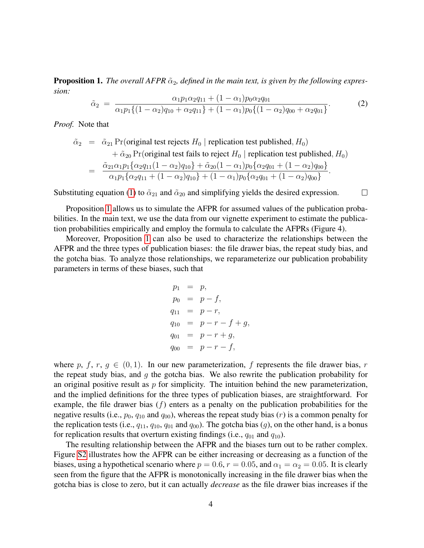**Proposition 1.** The overall AFPR  $\tilde{\alpha}_2$ , defined in the main text, is given by the following expres*sion:*

$$
\tilde{\alpha}_2 = \frac{\alpha_1 p_1 \alpha_2 q_{11} + (1 - \alpha_1) p_0 \alpha_2 q_{01}}{\alpha_1 p_1 \{(1 - \alpha_2) q_{10} + \alpha_2 q_{11}\} + (1 - \alpha_1) p_0 \{(1 - \alpha_2) q_{00} + \alpha_2 q_{01}\}}.
$$
(2)

*Proof.* Note that

$$
\tilde{\alpha}_2 = \tilde{\alpha}_{21} \Pr(\text{original test rejects } H_0 \mid \text{ replication test published}, H_0)
$$
  
+ 
$$
\tilde{\alpha}_{20} \Pr(\text{original test fails to reject } H_0 \mid \text{replication test published}, H_0)
$$
  
= 
$$
\frac{\tilde{\alpha}_{21} \alpha_1 p_1 \{ \alpha_2 q_{11} (1 - \alpha_2) q_{10} \} + \tilde{\alpha}_{20} (1 - \alpha_1) p_0 \{ \alpha_2 q_{01} + (1 - \alpha_2) q_{00} \}}{\alpha_1 p_1 \{ \alpha_2 q_{11} + (1 - \alpha_2) q_{10} \} + (1 - \alpha_1) p_0 \{ \alpha_2 q_{01} + (1 - \alpha_2) q_{00} \}}.
$$

Substituting equation [\(1\)](#page-4-0) to  $\tilde{\alpha}_{21}$  and  $\tilde{\alpha}_{20}$  and simplifying yields the desired expression.  $\Box$ 

Proposition [1](#page-4-1) allows us to simulate the AFPR for assumed values of the publication probabilities. In the main text, we use the data from our vignette experiment to estimate the publication probabilities empirically and employ the formula to calculate the AFPRs (Figure 4).

Moreover, Proposition [1](#page-4-1) can also be used to characterize the relationships between the AFPR and the three types of publication biases: the file drawer bias, the repeat study bias, and the gotcha bias. To analyze those relationships, we reparameterize our publication probability parameters in terms of these biases, such that

$$
p_1 = p,
$$
  
\n
$$
p_0 = p - f,
$$
  
\n
$$
q_{11} = p - r,
$$
  
\n
$$
q_{10} = p - r - f + g,
$$
  
\n
$$
q_{01} = p - r + g,
$$
  
\n
$$
q_{00} = p - r - f,
$$

where p, f, r,  $g \in (0, 1)$ . In our new parameterization, f represents the file drawer bias, r the repeat study bias, and  $q$  the gotcha bias. We also rewrite the publication probability for an original positive result as  $p$  for simplicity. The intuition behind the new parameterization, and the implied definitions for the three types of publication biases, are straightforward. For example, the file drawer bias  $(f)$  enters as a penalty on the publication probabilities for the negative results (i.e.,  $p_0$ ,  $q_{10}$  and  $q_{00}$ ), whereas the repeat study bias (*r*) is a common penalty for the replication tests (i.e.,  $q_{11}$ ,  $q_{10}$ ,  $q_{01}$  and  $q_{00}$ ). The gotcha bias (g), on the other hand, is a bonus for replication results that overturn existing findings (i.e.,  $q_{01}$  and  $q_{10}$ ).

The resulting relationship between the AFPR and the biases turn out to be rather complex. Figure [S2](#page-6-0) illustrates how the AFPR can be either increasing or decreasing as a function of the biases, using a hypothetical scenario where  $p = 0.6$ ,  $r = 0.05$ , and  $\alpha_1 = \alpha_2 = 0.05$ . It is clearly seen from the figure that the AFPR is monotonically increasing in the file drawer bias when the gotcha bias is close to zero, but it can actually *decrease* as the file drawer bias increases if the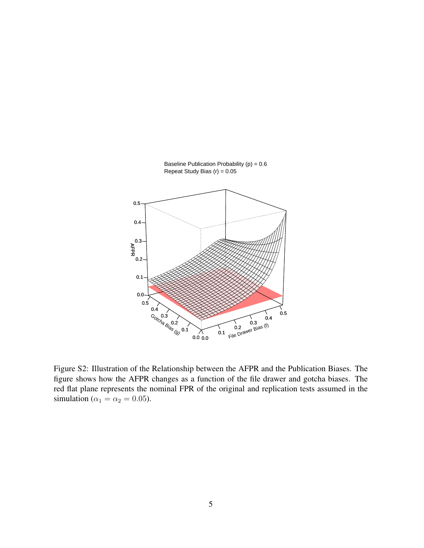

Baseline Publication Probability  $(p) = 0.6$ Repeat Study Bias  $(r) = 0.05$ 

<span id="page-6-0"></span>Figure S2: Illustration of the Relationship between the AFPR and the Publication Biases. The figure shows how the AFPR changes as a function of the file drawer and gotcha biases. The red flat plane represents the nominal FPR of the original and replication tests assumed in the simulation ( $\alpha_1 = \alpha_2 = 0.05$ ).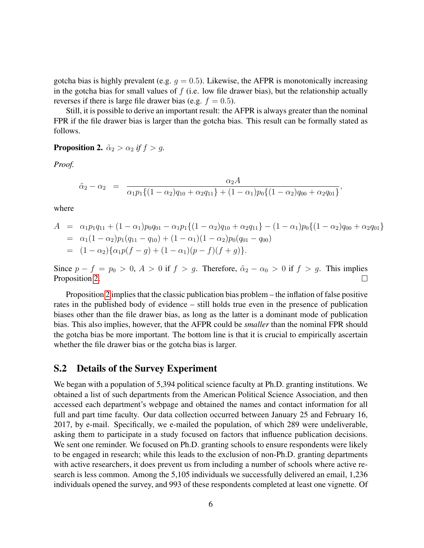gotcha bias is highly prevalent (e.g.  $q = 0.5$ ). Likewise, the AFPR is monotonically increasing in the gotcha bias for small values of  $f$  (i.e. low file drawer bias), but the relationship actually reverses if there is large file drawer bias (e.g.  $f = 0.5$ ).

Still, it is possible to derive an important result: the AFPR is always greater than the nominal FPR if the file drawer bias is larger than the gotcha bias. This result can be formally stated as follows.

#### <span id="page-7-1"></span>**Proposition 2.**  $\tilde{\alpha}_2 > \alpha_2$  *if*  $f > g$ .

*Proof.*

$$
\tilde{\alpha}_2 - \alpha_2 = \frac{\alpha_2 A}{\alpha_1 p_1 \{(1 - \alpha_2) q_{10} + \alpha_2 q_{11}\} + (1 - \alpha_1) p_0 \{(1 - \alpha_2) q_{00} + \alpha_2 q_{01}\}},
$$

where

$$
A = \alpha_1 p_1 q_{11} + (1 - \alpha_1) p_0 q_{01} - \alpha_1 p_1 \{(1 - \alpha_2) q_{10} + \alpha_2 q_{11}\} - (1 - \alpha_1) p_0 \{(1 - \alpha_2) q_{00} + \alpha_2 q_{01}\}
$$
  
=  $\alpha_1 (1 - \alpha_2) p_1 (q_{11} - q_{10}) + (1 - \alpha_1) (1 - \alpha_2) p_0 (q_{01} - q_{00})$   
=  $(1 - \alpha_2) {\alpha_1 p (f - g) + (1 - \alpha_1) (p - f) (f + g)}.$ 

Since  $p - f = p_0 > 0$ ,  $A > 0$  if  $f > g$ . Therefore,  $\tilde{\alpha}_2 - \alpha_0 > 0$  if  $f > g$ . This implies Proposition 2. Proposition [2.](#page-7-1)

Proposition [2](#page-7-1) implies that the classic publication bias problem – the inflation of false positive rates in the published body of evidence – still holds true even in the presence of publication biases other than the file drawer bias, as long as the latter is a dominant mode of publication bias. This also implies, however, that the AFPR could be *smaller* than the nominal FPR should the gotcha bias be more important. The bottom line is that it is crucial to empirically ascertain whether the file drawer bias or the gotcha bias is larger.

#### <span id="page-7-0"></span>S.2 Details of the Survey Experiment

We began with a population of 5,394 political science faculty at Ph.D. granting institutions. We obtained a list of such departments from the American Political Science Association, and then accessed each department's webpage and obtained the names and contact information for all full and part time faculty. Our data collection occurred between January 25 and February 16, 2017, by e-mail. Specifically, we e-mailed the population, of which 289 were undeliverable, asking them to participate in a study focused on factors that influence publication decisions. We sent one reminder. We focused on Ph.D. granting schools to ensure respondents were likely to be engaged in research; while this leads to the exclusion of non-Ph.D. granting departments with active researchers, it does prevent us from including a number of schools where active research is less common. Among the 5,105 individuals we successfully delivered an email, 1,236 individuals opened the survey, and 993 of these respondents completed at least one vignette. Of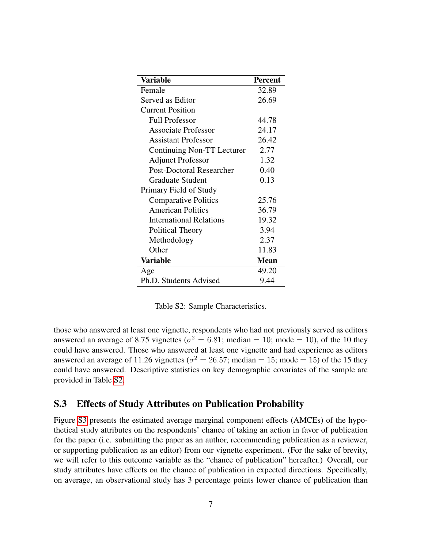| Variable                        | <b>Percent</b> |
|---------------------------------|----------------|
| Female                          | 32.89          |
| Served as Editor                | 26.69          |
| <b>Current Position</b>         |                |
| <b>Full Professor</b>           | 44.78          |
| <b>Associate Professor</b>      | 24.17          |
| <b>Assistant Professor</b>      | 26.42          |
| Continuing Non-TT Lecturer      | 2.77           |
| <b>Adjunct Professor</b>        | 1.32           |
| <b>Post-Doctoral Researcher</b> | 0.40           |
| <b>Graduate Student</b>         | 0.13           |
| Primary Field of Study          |                |
| <b>Comparative Politics</b>     | 25.76          |
| <b>American Politics</b>        | 36.79          |
| <b>International Relations</b>  | 19.32          |
| Political Theory                | 3.94           |
| Methodology                     | 2.37           |
| Other                           | 11.83          |
| <b>Variable</b>                 | <b>Mean</b>    |
| Age                             | 49.20          |
| Ph.D. Students Advised          | 9.44           |

<span id="page-8-1"></span>

|  |  | Table S2: Sample Characteristics. |
|--|--|-----------------------------------|
|--|--|-----------------------------------|

those who answered at least one vignette, respondents who had not previously served as editors answered an average of 8.75 vignettes ( $\sigma^2 = 6.81$ ; median = 10; mode = 10), of the 10 they could have answered. Those who answered at least one vignette and had experience as editors answered an average of 11.26 vignettes ( $\sigma^2 = 26.57$ ; median = 15; mode = 15) of the 15 they could have answered. Descriptive statistics on key demographic covariates of the sample are provided in Table [S2.](#page-8-1)

#### <span id="page-8-0"></span>S.3 Effects of Study Attributes on Publication Probability

Figure [S3](#page-10-0) presents the estimated average marginal component effects (AMCEs) of the hypothetical study attributes on the respondents' chance of taking an action in favor of publication for the paper (i.e. submitting the paper as an author, recommending publication as a reviewer, or supporting publication as an editor) from our vignette experiment. (For the sake of brevity, we will refer to this outcome variable as the "chance of publication" hereafter.) Overall, our study attributes have effects on the chance of publication in expected directions. Specifically, on average, an observational study has 3 percentage points lower chance of publication than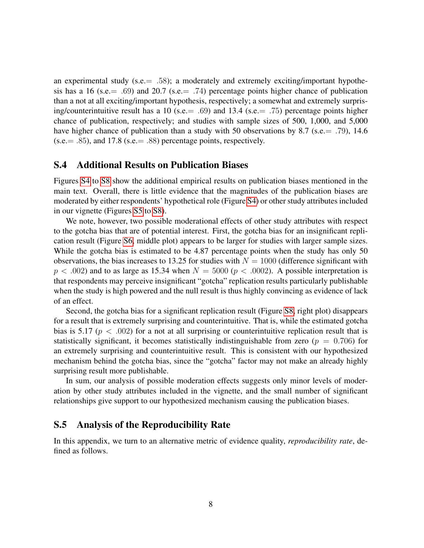an experimental study (s.e.  $= .58$ ); a moderately and extremely exciting/important hypothesis has a 16 (s.e.  $= .69$ ) and 20.7 (s.e.  $= .74$ ) percentage points higher chance of publication than a not at all exciting/important hypothesis, respectively; a somewhat and extremely surprising/counterintuitive result has a 10 (s.e.  $= .69$ ) and 13.4 (s.e.  $= .75$ ) percentage points higher chance of publication, respectively; and studies with sample sizes of 500, 1,000, and 5,000 have higher chance of publication than a study with 50 observations by 8.7 (s.e. = .79), 14.6  $(s.e. = .85)$ , and 17.8 (s.e.  $= .88$ ) percentage points, respectively.

#### <span id="page-9-0"></span>S.4 Additional Results on Publication Biases

Figures [S4](#page-11-0) to [S8](#page-13-0) show the additional empirical results on publication biases mentioned in the main text. Overall, there is little evidence that the magnitudes of the publication biases are moderated by either respondents' hypothetical role (Figure [S4\)](#page-11-0) or other study attributes included in our vignette (Figures [S5](#page-12-0) to [S8\)](#page-13-0).

We note, however, two possible moderational effects of other study attributes with respect to the gotcha bias that are of potential interest. First, the gotcha bias for an insignificant replication result (Figure [S6,](#page-12-1) middle plot) appears to be larger for studies with larger sample sizes. While the gotcha bias is estimated to be 4.87 percentage points when the study has only 50 observations, the bias increases to 13.25 for studies with  $N = 1000$  (difference significant with  $p < .002$ ) and to as large as 15.34 when  $N = 5000 (p < .0002)$ . A possible interpretation is that respondents may perceive insignificant "gotcha" replication results particularly publishable when the study is high powered and the null result is thus highly convincing as evidence of lack of an effect.

Second, the gotcha bias for a significant replication result (Figure [S8,](#page-13-0) right plot) disappears for a result that is extremely surprising and counterintuitive. That is, while the estimated gotcha bias is 5.17 ( $p < .002$ ) for a not at all surprising or counterintuitive replication result that is statistically significant, it becomes statistically indistinguishable from zero ( $p = 0.706$ ) for an extremely surprising and counterintuitive result. This is consistent with our hypothesized mechanism behind the gotcha bias, since the "gotcha" factor may not make an already highly surprising result more publishable.

In sum, our analysis of possible moderation effects suggests only minor levels of moderation by other study attributes included in the vignette, and the small number of significant relationships give support to our hypothesized mechanism causing the publication biases.

#### <span id="page-9-1"></span>S.5 Analysis of the Reproducibility Rate

In this appendix, we turn to an alternative metric of evidence quality, *reproducibility rate*, defined as follows.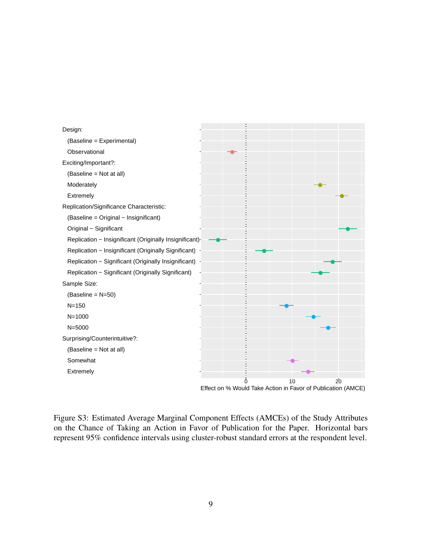

<span id="page-10-0"></span>Figure S3: Estimated Average Marginal Component Effects (AMCEs) of the Study Attributes on the Chance of Taking an Action in Favor of Publication for the Paper. Horizontal bars represent 95% confidence intervals using cluster-robust standard errors at the respondent level.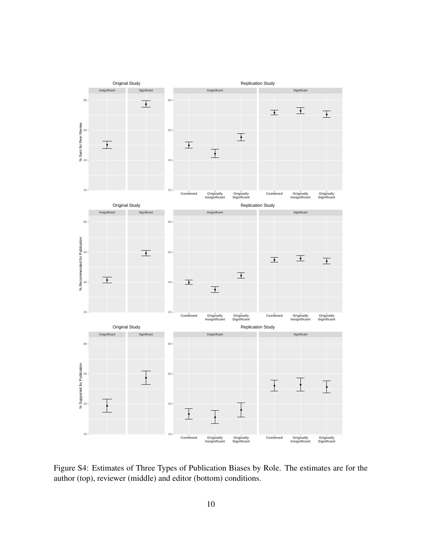

<span id="page-11-0"></span>Figure S4: Estimates of Three Types of Publication Biases by Role. The estimates are for the author (top), reviewer (middle) and editor (bottom) conditions.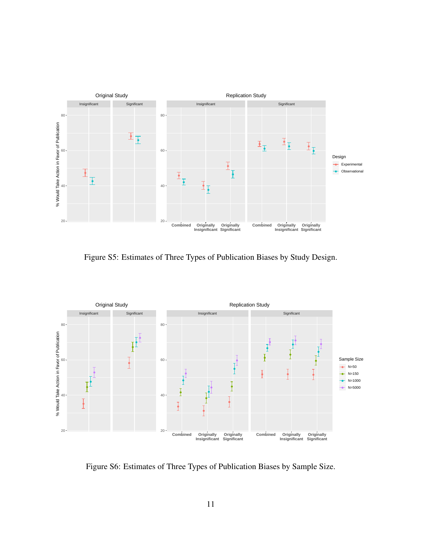

<span id="page-12-0"></span>Figure S5: Estimates of Three Types of Publication Biases by Study Design.



<span id="page-12-1"></span>Figure S6: Estimates of Three Types of Publication Biases by Sample Size.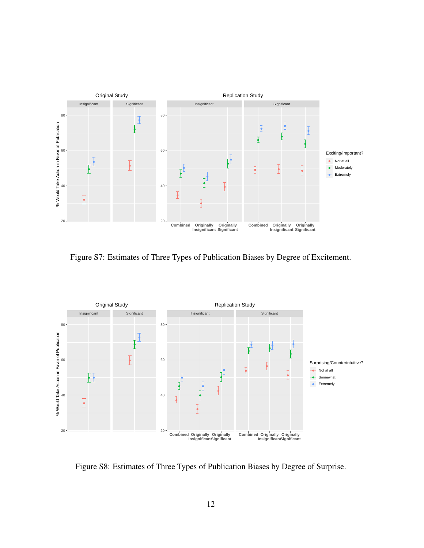

Figure S7: Estimates of Three Types of Publication Biases by Degree of Excitement.



<span id="page-13-0"></span>Figure S8: Estimates of Three Types of Publication Biases by Degree of Surprise.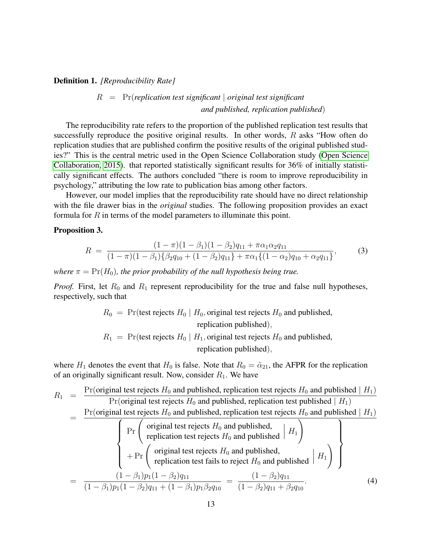#### Definition 1. *[Reproducibility Rate]*

#### R = Pr(*replication test significant* | *original test significant and published, replication published*)

The reproducibility rate refers to the proportion of the published replication test results that successfully reproduce the positive original results. In other words, R asks "How often do replication studies that are published confirm the positive results of the original published studies?" This is the central metric used in the Open Science Collaboration study [\(Open Science](#page-18-0) [Collaboration, 2015\)](#page-18-0). that reported statistically significant results for 36% of initially statistically significant effects. The authors concluded "there is room to improve reproducibility in psychology," attributing the low rate to publication bias among other factors.

However, our model implies that the reproducibility rate should have no direct relationship with the file drawer bias in the *original* studies. The following proposition provides an exact formula for  $R$  in terms of the model parameters to illuminate this point.

#### <span id="page-14-0"></span>Proposition 3.

$$
R = \frac{(1 - \pi)(1 - \beta_1)(1 - \beta_2)q_{11} + \pi \alpha_1 \alpha_2 q_{11}}{(1 - \pi)(1 - \beta_1)\{\beta_2 q_{10} + (1 - \beta_2)q_{11}\} + \pi \alpha_1 \{(1 - \alpha_2)q_{10} + \alpha_2 q_{11}\}},
$$
(3)

*where*  $\pi = \Pr(H_0)$ *, the prior probability of the null hypothesis being true.* 

*Proof.* First, let  $R_0$  and  $R_1$  represent reproducibility for the true and false null hypotheses, respectively, such that

$$
R_0 = \Pr(\text{test rejects } H_0 \mid H_0, \text{original test rejects } H_0 \text{ and published},
$$
\n $R_1 = \Pr(\text{test rejects } H_0 \mid H_1, \text{original test rejects } H_0 \text{ and published},$ \n $R_2 = \Pr(\text{test rejects } H_0 \mid H_1, \text{original test rejects } H_0 \text{ and published})$ 

where  $H_1$  denotes the event that  $H_0$  is false. Note that  $R_0 = \tilde{\alpha}_{21}$ , the AFPR for the replication of an originally significant result. Now, consider  $R_1$ . We have

$$
R_1 = \frac{\Pr(\text{original test rejects } H_0 \text{ and published, replication test rejects } H_0 \text{ and published } | H_1)}{\Pr(\text{original test rejects } H_0 \text{ and published, replication test published } | H_1)}
$$
\n
$$
= \frac{\Pr(\text{original test rejects } H_0 \text{ and published, replication test rejects } H_0 \text{ and published } | H_1)}{\Pr(\text{original test rejects } H_0 \text{ and published } | H_1)}
$$
\n
$$
+ \Pr(\text{original test rejects } H_0 \text{ and published } | H_1)
$$
\n
$$
+ \Pr(\text{original test rejects } H_0 \text{ and published, replicated } H_1 \text{ and published } | H_1)
$$
\n
$$
= \frac{(1 - \beta_1)p_1(1 - \beta_2)q_{11}}{(1 - \beta_1)p_1(1 - \beta_2)q_{11} + (1 - \beta_1)p_1\beta_2q_{10}} = \frac{(1 - \beta_2)q_{11}}{(1 - \beta_2)q_{11} + \beta_2q_{10}}.
$$
\n(4)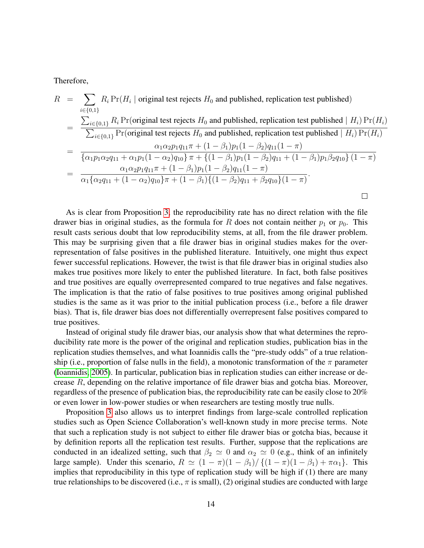Therefore,

$$
R = \sum_{i \in \{0,1\}} R_i \Pr(H_i \mid \text{original test rejects } H_0 \text{ and published, replication test published})
$$
  
= 
$$
\frac{\sum_{i \in \{0,1\}} R_i \Pr(\text{original test rejects } H_0 \text{ and published, replication test published} \mid H_i) \Pr(H_i)}{\sum_{i \in \{0,1\}} \Pr(\text{original test rejects } H_0 \text{ and published, replication test published} \mid H_i) \Pr(H_i)}
$$
  
= 
$$
\frac{\alpha_1 \alpha_2 p_1 q_{11} \pi + (1 - \beta_1) p_1 (1 - \beta_2) q_{11} (1 - \pi)}{\{\alpha_1 p_1 \alpha_2 q_{11} + \alpha_1 p_1 (1 - \alpha_2) q_{10}\} \pi + \{(1 - \beta_1) p_1 (1 - \beta_2) q_{11} + (1 - \beta_1) p_1 \beta_2 q_{10}\} (1 - \pi)}
$$
  
= 
$$
\frac{\alpha_1 \alpha_2 p_1 q_{11} \pi + (1 - \beta_1) p_1 (1 - \beta_2) q_{11} (1 - \pi)}{\alpha_1 \{\alpha_2 q_{11} + (1 - \alpha_2) q_{10}\} \pi + (1 - \beta_1) \{(1 - \beta_2) q_{11} + \beta_2 q_{10}\} (1 - \pi)}.
$$

As is clear from Proposition [3,](#page-14-0) the reproducibility rate has no direct relation with the file drawer bias in original studies, as the formula for R does not contain neither  $p_1$  or  $p_0$ . This result casts serious doubt that low reproducibility stems, at all, from the file drawer problem. This may be surprising given that a file drawer bias in original studies makes for the overrepresentation of false positives in the published literature. Intuitively, one might thus expect fewer successful replications. However, the twist is that file drawer bias in original studies also makes true positives more likely to enter the published literature. In fact, both false positives and true positives are equally overrepresented compared to true negatives and false negatives. The implication is that the ratio of false positives to true positives among original published studies is the same as it was prior to the initial publication process (i.e., before a file drawer bias). That is, file drawer bias does not differentially overrepresent false positives compared to true positives.

Instead of original study file drawer bias, our analysis show that what determines the reproducibility rate more is the power of the original and replication studies, publication bias in the replication studies themselves, and what Ioannidis calls the "pre-study odds" of a true relationship (i.e., proportion of false nulls in the field), a monotonic transformation of the  $\pi$  parameter [\(Ioannidis, 2005\)](#page-18-1). In particular, publication bias in replication studies can either increase or decrease  $R$ , depending on the relative importance of file drawer bias and gotcha bias. Moreover, regardless of the presence of publication bias, the reproducibility rate can be easily close to 20% or even lower in low-power studies or when researchers are testing mostly true nulls.

Proposition [3](#page-14-0) also allows us to interpret findings from large-scale controlled replication studies such as Open Science Collaboration's well-known study in more precise terms. Note that such a replication study is not subject to either file drawer bias or gotcha bias, because it by definition reports all the replication test results. Further, suppose that the replications are conducted in an idealized setting, such that  $\beta_2 \simeq 0$  and  $\alpha_2 \simeq 0$  (e.g., think of an infinitely large sample). Under this scenario,  $R \simeq (1 - \pi)(1 - \beta_1)/\{(1 - \pi)(1 - \beta_1) + \pi \alpha_1\}$ . This implies that reproducibility in this type of replication study will be high if (1) there are many true relationships to be discovered (i.e.,  $\pi$  is small), (2) original studies are conducted with large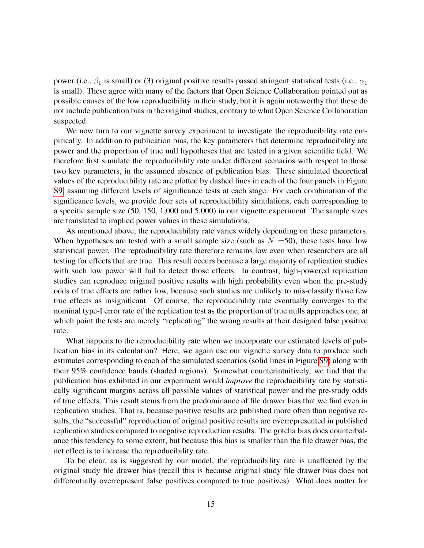power (i.e.,  $\beta_1$  is small) or (3) original positive results passed stringent statistical tests (i.e.,  $\alpha_1$ ) is small). These agree with many of the factors that Open Science Collaboration pointed out as possible causes of the low reproducibility in their study, but it is again noteworthy that these do not include publication bias in the original studies, contrary to what Open Science Collaboration suspected.

We now turn to our vignette survey experiment to investigate the reproducibility rate empirically. In addition to publication bias, the key parameters that determine reproducibility are power and the proportion of true null hypotheses that are tested in a given scientific field. We therefore first simulate the reproducibility rate under different scenarios with respect to those two key parameters, in the assumed absence of publication bias. These simulated theoretical values of the reproducibility rate are plotted by dashed lines in each of the four panels in Figure [S9,](#page-17-0) assuming different levels of significance tests at each stage. For each combination of the significance levels, we provide four sets of reproducibility simulations, each corresponding to a specific sample size (50, 150, 1,000 and 5,000) in our vignette experiment. The sample sizes are translated to implied power values in these simulations.

As mentioned above, the reproducibility rate varies widely depending on these parameters. When hypotheses are tested with a small sample size (such as  $N = 50$ ), these tests have low statistical power. The reproducibility rate therefore remains low even when researchers are all testing for effects that are true. This result occurs because a large majority of replication studies with such low power will fail to detect those effects. In contrast, high-powered replication studies can reproduce original positive results with high probability even when the pre-study odds of true effects are rather low, because such studies are unlikely to mis-classify those few true effects as insignificant. Of course, the reproducibility rate eventually converges to the nominal type-I error rate of the replication test as the proportion of true nulls approaches one, at which point the tests are merely "replicating" the wrong results at their designed false positive rate.

What happens to the reproducibility rate when we incorporate our estimated levels of publication bias in its calculation? Here, we again use our vignette survey data to produce such estimates corresponding to each of the simulated scenarios (solid lines in Figure [S9\)](#page-17-0) along with their 95% confidence bands (shaded regions). Somewhat counterintuitively, we find that the publication bias exhibited in our experiment would *improve* the reproducibility rate by statistically significant margins across all possible values of statistical power and the pre-study odds of true effects. This result stems from the predominance of file drawer bias that we find even in replication studies. That is, because positive results are published more often than negative results, the "successful" reproduction of original positive results are overrepresented in published replication studies compared to negative reproduction results. The gotcha bias does counterbalance this tendency to some extent, but because this bias is smaller than the file drawer bias, the net effect is to increase the reproducibility rate.

To be clear, as is suggested by our model, the reproducibility rate is unaffected by the original study file drawer bias (recall this is because original study file drawer bias does not differentially overrepresent false positives compared to true positives). What does matter for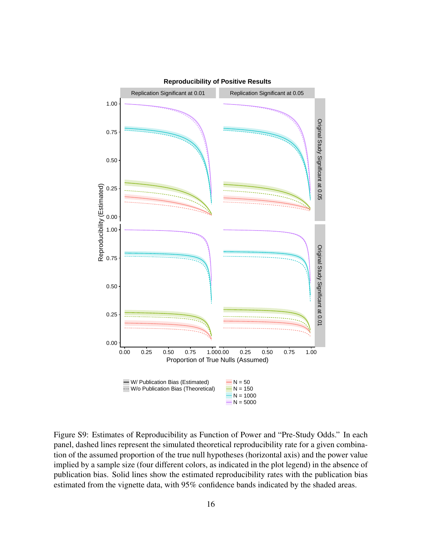

<span id="page-17-0"></span>Figure S9: Estimates of Reproducibility as Function of Power and "Pre-Study Odds." In each panel, dashed lines represent the simulated theoretical reproducibility rate for a given combination of the assumed proportion of the true null hypotheses (horizontal axis) and the power value implied by a sample size (four different colors, as indicated in the plot legend) in the absence of publication bias. Solid lines show the estimated reproducibility rates with the publication bias estimated from the vignette data, with 95% confidence bands indicated by the shaded areas.